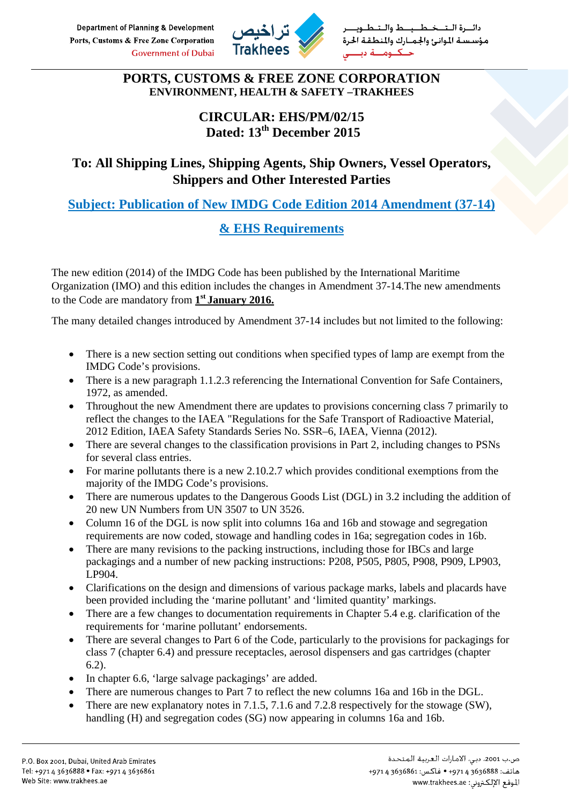Department of Planning & Development Ports, Customs & Free Zone Corporation **Government of Dubai** 



خطيب طوالت سبة الموانئ والجميارك والمنطق

#### **PORTS, CUSTOMS & FREE ZONE CORPORATION ENVIRONMENT, HEALTH & SAFETY –TRAKHEES**

#### **CIRCULAR: EHS/PM/02/15 Dated: 13th December 2015**

### **To: All Shipping Lines, Shipping Agents, Ship Owners, Vessel Operators, Shippers and Other Interested Parties**

**Subject: Publication of New IMDG Code Edition 2014 Amendment (37-14)** 

## **& EHS Requirements**

The new edition (2014) of the IMDG Code has been published by the International Maritime Organization (IMO) and this edition includes the changes in Amendment 37-14.The new amendments to the Code are mandatory from **1st January 2016.**

The many detailed changes introduced by Amendment 37-14 includes but not limited to the following:

- There is a new section setting out conditions when specified types of lamp are exempt from the IMDG Code's provisions.
- There is a new paragraph 1.1.2.3 referencing the International Convention for Safe Containers, 1972, as amended.
- Throughout the new Amendment there are updates to provisions concerning class 7 primarily to reflect the changes to the IAEA "Regulations for the Safe Transport of Radioactive Material, 2012 Edition, IAEA Safety Standards Series No. SSR–6, IAEA, Vienna (2012).
- There are several changes to the classification provisions in Part 2, including changes to PSNs for several class entries.
- For marine pollutants there is a new 2.10.2.7 which provides conditional exemptions from the majority of the IMDG Code's provisions.
- There are numerous updates to the Dangerous Goods List (DGL) in 3.2 including the addition of 20 new UN Numbers from UN 3507 to UN 3526.
- Column 16 of the DGL is now split into columns 16a and 16b and stowage and segregation requirements are now coded, stowage and handling codes in 16a; segregation codes in 16b.
- There are many revisions to the packing instructions, including those for IBCs and large packagings and a number of new packing instructions: P208, P505, P805, P908, P909, LP903, LP904.
- Clarifications on the design and dimensions of various package marks, labels and placards have been provided including the 'marine pollutant' and 'limited quantity' markings.
- There are a few changes to documentation requirements in Chapter 5.4 e.g. clarification of the requirements for 'marine pollutant' endorsements.
- There are several changes to Part 6 of the Code, particularly to the provisions for packagings for class 7 (chapter 6.4) and pressure receptacles, aerosol dispensers and gas cartridges (chapter 6.2).
- In chapter 6.6, 'large salvage packagings' are added.
- There are numerous changes to Part 7 to reflect the new columns 16a and 16b in the DGL.
- There are new explanatory notes in 7.1.5, 7.1.6 and 7.2.8 respectively for the stowage (SW), handling (H) and segregation codes (SG) now appearing in columns 16a and 16b.